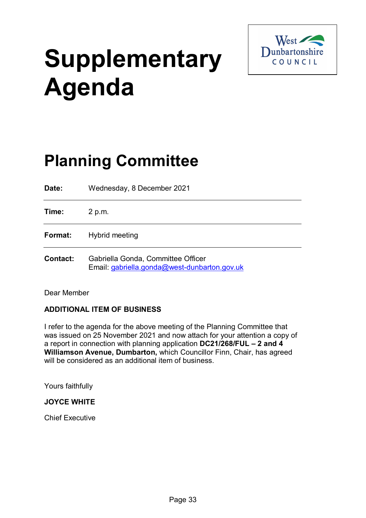# **Supplementary Agenda**



# **Planning Committee**

**Date:** Wednesday, 8 December 2021 **Time:** 2 p.m. **Format:** Hybrid meeting **Contact:** Gabriella Gonda, Committee Officer Email: [gabriella.gonda@west-dunbarton.gov.uk](mailto:gabriella.gonda@west-dunbarton.gov.uk)

Dear Member

# **ADDITIONAL ITEM OF BUSINESS**

I refer to the agenda for the above meeting of the Planning Committee that was issued on 25 November 2021 and now attach for your attention a copy of a report in connection with planning application **DC21/268/FUL – 2 and 4 Williamson Avenue, Dumbarton,** which Councillor Finn, Chair, has agreed will be considered as an additional item of business.

Yours faithfully

# **JOYCE WHITE**

Chief Executive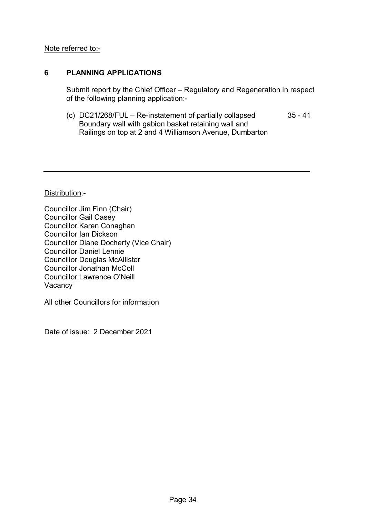### Note referred to:-

# **6 PLANNING APPLICATIONS**

Submit report by the Chief Officer – Regulatory and Regeneration in respect of the following planning application:-

(c) DC21/268/FUL – Re-instatement of partially collapsed 35 - 41 Boundary wall with gabion basket retaining wall and Railings on top at 2 and 4 Williamson Avenue, Dumbarton

Distribution:-

Councillor Jim Finn (Chair) Councillor Gail Casey Councillor Karen Conaghan Councillor Ian Dickson Councillor Diane Docherty (Vice Chair) Councillor Daniel Lennie Councillor Douglas McAllister Councillor Jonathan McColl Councillor Lawrence O'Neill **Vacancy** 

All other Councillors for information

Date of issue: 2 December 2021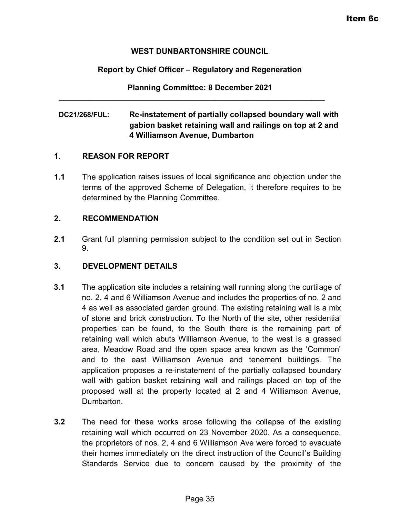#### **WEST DUNBARTONSHIRE COUNCIL**

# **Report by Chief Officer – Regulatory and Regeneration**

**Planning Committee: 8 December 2021**

**\_\_\_\_\_\_\_\_\_\_\_\_\_\_\_\_\_\_\_\_\_\_\_\_\_\_\_\_\_\_\_\_\_\_\_\_\_\_\_\_\_\_\_\_\_\_\_\_\_\_\_\_\_\_\_\_\_\_\_\_\_**

# **DC21/268/FUL: Re-instatement of partially collapsed boundary wall with gabion basket retaining wall and railings on top at 2 and 4 Williamson Avenue, Dumbarton**

#### **1. REASON FOR REPORT**

**1.1** The application raises issues of local significance and objection under the terms of the approved Scheme of Delegation, it therefore requires to be determined by the Planning Committee.

### **2. RECOMMENDATION**

**2.1** Grant full planning permission subject to the condition set out in Section 9.

#### **3. DEVELOPMENT DETAILS**

- **3.1** The application site includes a retaining wall running along the curtilage of no. 2, 4 and 6 Williamson Avenue and includes the properties of no. 2 and 4 as well as associated garden ground. The existing retaining wall is a mix of stone and brick construction. To the North of the site, other residential properties can be found, to the South there is the remaining part of retaining wall which abuts Williamson Avenue, to the west is a grassed area, Meadow Road and the open space area known as the 'Common' and to the east Williamson Avenue and tenement buildings. The application proposes a re-instatement of the partially collapsed boundary wall with gabion basket retaining wall and railings placed on top of the proposed wall at the property located at 2 and 4 Williamson Avenue, Dumbarton.
- **3.2** The need for these works arose following the collapse of the existing retaining wall which occurred on 23 November 2020. As a consequence, the proprietors of nos. 2, 4 and 6 Williamson Ave were forced to evacuate their homes immediately on the direct instruction of the Council's Building Standards Service due to concern caused by the proximity of the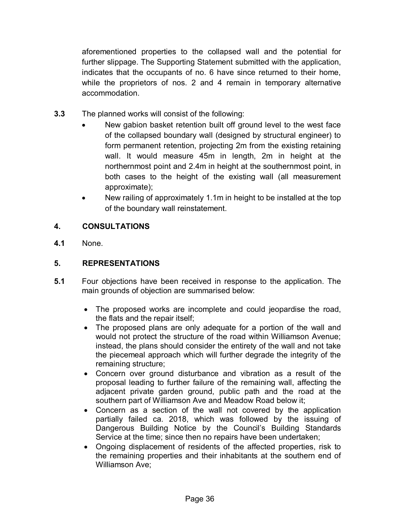aforementioned properties to the collapsed wall and the potential for further slippage. The Supporting Statement submitted with the application, indicates that the occupants of no. 6 have since returned to their home, while the proprietors of nos. 2 and 4 remain in temporary alternative accommodation.

- **3.3** The planned works will consist of the following:
	- New gabion basket retention built off ground level to the west face of the collapsed boundary wall (designed by structural engineer) to form permanent retention, projecting 2m from the existing retaining wall. It would measure 45m in length, 2m in height at the northernmost point and 2.4m in height at the southernmost point, in both cases to the height of the existing wall (all measurement approximate);
	- New railing of approximately 1.1m in height to be installed at the top of the boundary wall reinstatement.

# **4. CONSULTATIONS**

**4.1** None.

# **5. REPRESENTATIONS**

- **5.1** Four objections have been received in response to the application. The main grounds of objection are summarised below:
	- The proposed works are incomplete and could jeopardise the road, the flats and the repair itself;
	- The proposed plans are only adequate for a portion of the wall and would not protect the structure of the road within Williamson Avenue; instead, the plans should consider the entirety of the wall and not take the piecemeal approach which will further degrade the integrity of the remaining structure;
	- Concern over ground disturbance and vibration as a result of the proposal leading to further failure of the remaining wall, affecting the adjacent private garden ground, public path and the road at the southern part of Williamson Ave and Meadow Road below it;
	- Concern as a section of the wall not covered by the application partially failed ca. 2018, which was followed by the issuing of Dangerous Building Notice by the Council's Building Standards Service at the time; since then no repairs have been undertaken;
	- Ongoing displacement of residents of the affected properties, risk to the remaining properties and their inhabitants at the southern end of Williamson Ave;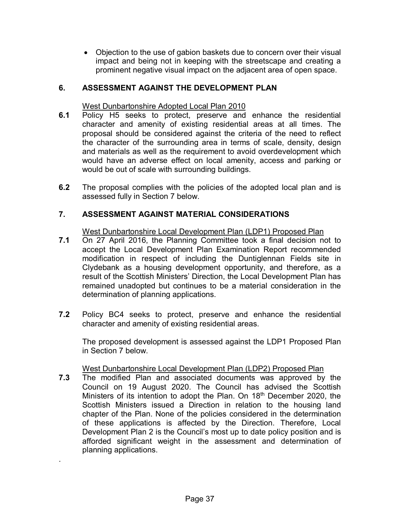• Objection to the use of gabion baskets due to concern over their visual impact and being not in keeping with the streetscape and creating a prominent negative visual impact on the adjacent area of open space.

# **6. ASSESSMENT AGAINST THE DEVELOPMENT PLAN**

#### West Dunbartonshire Adopted Local Plan 2010

- **6.1** Policy H5 seeks to protect, preserve and enhance the residential character and amenity of existing residential areas at all times. The proposal should be considered against the criteria of the need to reflect the character of the surrounding area in terms of scale, density, design and materials as well as the requirement to avoid overdevelopment which would have an adverse effect on local amenity, access and parking or would be out of scale with surrounding buildings.
- **6.2** The proposal complies with the policies of the adopted local plan and is assessed fully in Section 7 below.

#### **7. ASSESSMENT AGAINST MATERIAL CONSIDERATIONS**

West Dunbartonshire Local Development Plan (LDP1) Proposed Plan

- **7.1** On 27 April 2016, the Planning Committee took a final decision not to accept the Local Development Plan Examination Report recommended modification in respect of including the Duntiglennan Fields site in Clydebank as a housing development opportunity, and therefore, as a result of the Scottish Ministers' Direction, the Local Development Plan has remained unadopted but continues to be a material consideration in the determination of planning applications.
- **7.2**Policy BC4 seeks to protect, preserve and enhance the residential character and amenity of existing residential areas.

The proposed development is assessed against the LDP1 Proposed Plan in Section 7 below.

#### West Dunbartonshire Local Development Plan (LDP2) Proposed Plan

**7.3** The modified Plan and associated documents was approved by the Council on 19 August 2020. The Council has advised the Scottish Ministers of its intention to adopt the Plan. On 18<sup>th</sup> December 2020, the Scottish Ministers issued a Direction in relation to the housing land chapter of the Plan. None of the policies considered in the determination of these applications is affected by the Direction. Therefore, Local Development Plan 2 is the Council's most up to date policy position and is afforded significant weight in the assessment and determination of planning applications.

.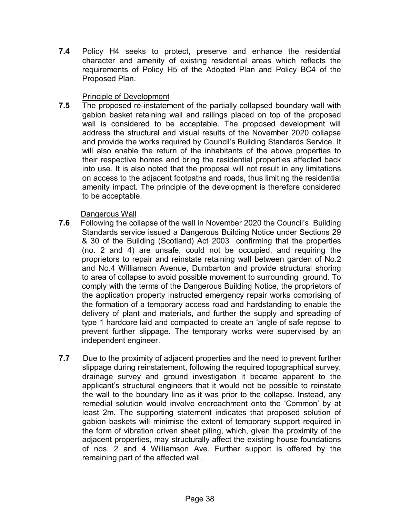**7.4** Policy H4 seeks to protect, preserve and enhance the residential character and amenity of existing residential areas which reflects the requirements of Policy H5 of the Adopted Plan and Policy BC4 of the Proposed Plan.

# Principle of Development

**7.5** The proposed re-instatement of the partially collapsed boundary wall with gabion basket retaining wall and railings placed on top of the proposed wall is considered to be acceptable. The proposed development will address the structural and visual results of the November 2020 collapse and provide the works required by Council's Building Standards Service. It will also enable the return of the inhabitants of the above properties to their respective homes and bring the residential properties affected back into use. It is also noted that the proposal will not result in any limitations on access to the adjacent footpaths and roads, thus limiting the residential amenity impact. The principle of the development is therefore considered to be acceptable.

# Dangerous Wall

- **7.6** Following the collapse of the wall in November 2020 the Council's Building Standards service issued a Dangerous Building Notice under Sections 29 & 30 of the Building (Scotland) Act 2003 confirming that the properties (no. 2 and 4) are unsafe, could not be occupied, and requiring the proprietors to repair and reinstate retaining wall between garden of No.2 and No.4 Williamson Avenue, Dumbarton and provide structural shoring to area of collapse to avoid possible movement to surrounding ground. To comply with the terms of the Dangerous Building Notice, the proprietors of the application property instructed emergency repair works comprising of the formation of a temporary access road and hardstanding to enable the delivery of plant and materials, and further the supply and spreading of type 1 hardcore laid and compacted to create an 'angle of safe repose' to prevent further slippage. The temporary works were supervised by an independent engineer.
- **7.7** Due to the proximity of adjacent properties and the need to prevent further slippage during reinstatement, following the required topographical survey, drainage survey and ground investigation it became apparent to the applicant's structural engineers that it would not be possible to reinstate the wall to the boundary line as it was prior to the collapse. Instead, any remedial solution would involve encroachment onto the 'Common' by at least 2m. The supporting statement indicates that proposed solution of gabion baskets will minimise the extent of temporary support required in the form of vibration driven sheet piling, which, given the proximity of the adjacent properties, may structurally affect the existing house foundations of nos. 2 and 4 Williamson Ave. Further support is offered by the remaining part of the affected wall.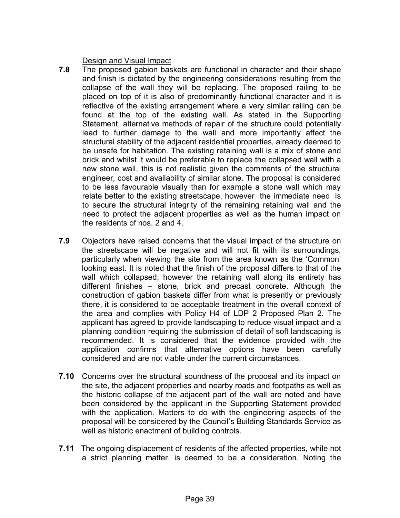Design and Visual Impact

- **7.8** The proposed gabion baskets are functional in character and their shape and finish is dictated by the engineering considerations resulting from the collapse of the wall they will be replacing. The proposed railing to be placed on top of it is also of predominantly functional character and it is reflective of the existing arrangement where a very similar railing can be found at the top of the existing wall. As stated in the Supporting Statement, alternative methods of repair of the structure could potentially lead to further damage to the wall and more importantly affect the structural stability of the adjacent residential properties, already deemed to be unsafe for habitation. The existing retaining wall is a mix of stone and brick and whilst it would be preferable to replace the collapsed wall with a new stone wall, this is not realistic given the comments of the structural engineer, cost and availability of similar stone. The proposal is considered to be less favourable visually than for example a stone wall which may relate better to the existing streetscape, however the immediate need is to secure the structural integrity of the remaining retaining wall and the need to protect the adjacent properties as well as the human impact on the residents of nos. 2 and 4.
- **7.9** Objectors have raised concerns that the visual impact of the structure on the streetscape will be negative and will not fit with its surroundings, particularly when viewing the site from the area known as the 'Common' looking east. It is noted that the finish of the proposal differs to that of the wall which collapsed, however the retaining wall along its entirety has different finishes – stone, brick and precast concrete. Although the construction of gabion baskets differ from what is presently or previously there, it is considered to be acceptable treatment in the overall context of the area and complies with Policy H4 of LDP 2 Proposed Plan 2. The applicant has agreed to provide landscaping to reduce visual impact and a planning condition requiring the submission of detail of soft landscaping is recommended. It is considered that the evidence provided with the application confirms that alternative options have been carefully considered and are not viable under the current circumstances.
- **7.10** Concerns over the structural soundness of the proposal and its impact on the site, the adjacent properties and nearby roads and footpaths as well as the historic collapse of the adjacent part of the wall are noted and have been considered by the applicant in the Supporting Statement provided with the application. Matters to do with the engineering aspects of the proposal will be considered by the Council's Building Standards Service as well as historic enactment of building controls.
- **7.11** The ongoing displacement of residents of the affected properties, while not a strict planning matter, is deemed to be a consideration. Noting the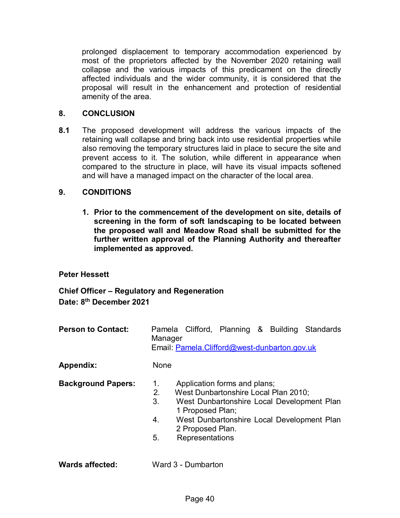prolonged displacement to temporary accommodation experienced by most of the proprietors affected by the November 2020 retaining wall collapse and the various impacts of this predicament on the directly affected individuals and the wider community, it is considered that the proposal will result in the enhancement and protection of residential amenity of the area.

#### **8. CONCLUSION**

**8.1** The proposed development will address the various impacts of the retaining wall collapse and bring back into use residential properties while also removing the temporary structures laid in place to secure the site and prevent access to it. The solution, while different in appearance when compared to the structure in place, will have its visual impacts softened and will have a managed impact on the character of the local area.

### **9. CONDITIONS**

**1. Prior to the commencement of the development on site, details of screening in the form of soft landscaping to be located between the proposed wall and Meadow Road shall be submitted for the further written approval of the Planning Authority and thereafter implemented as approved.**

#### **Peter Hessett**

**Chief Officer – Regulatory and Regeneration Date: 8th December 2021**

**Person to Contact:** Pamela Clifford, Planning & Building Standards Manager Email: [Pamela.Clifford@west-dunbarton.gov.uk](mailto:Pamela.Clifford@west-dunbarton.gov.uk)

Appendix: None

- 
- **Background Papers:** 1. Application forms and plans;
	- 2. West Dunbartonshire Local Plan 2010;
	- 3. West Dunbartonshire Local Development Plan 1 Proposed Plan;
	- 4. West Dunbartonshire Local Development Plan 2 Proposed Plan.
	- 5. Representations
- **Wards affected:** Ward 3 Dumbarton